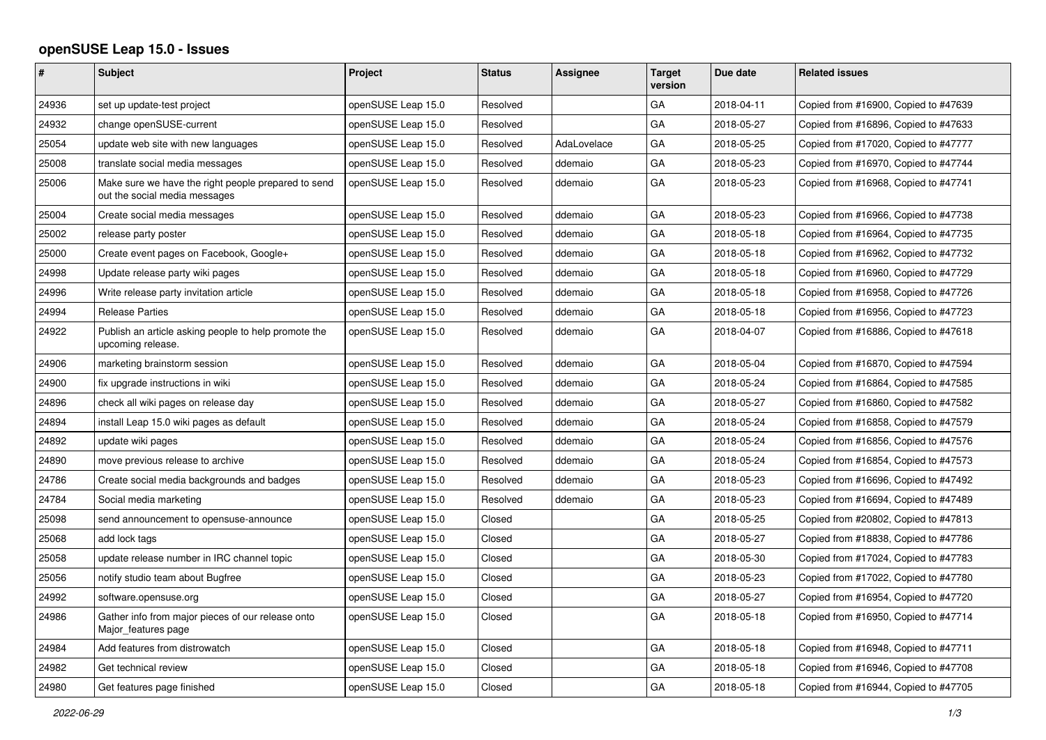## **openSUSE Leap 15.0 - Issues**

|       | <b>Subject</b>                                                                       | <b>Project</b>     | <b>Status</b> | Assignee    | <b>Target</b><br>version | Due date   | <b>Related issues</b>                |
|-------|--------------------------------------------------------------------------------------|--------------------|---------------|-------------|--------------------------|------------|--------------------------------------|
| 24936 | set up update-test project                                                           | openSUSE Leap 15.0 | Resolved      |             | GA                       | 2018-04-11 | Copied from #16900, Copied to #47639 |
| 24932 | change openSUSE-current                                                              | openSUSE Leap 15.0 | Resolved      |             | GA                       | 2018-05-27 | Copied from #16896, Copied to #47633 |
| 25054 | update web site with new languages                                                   | openSUSE Leap 15.0 | Resolved      | AdaLovelace | GA                       | 2018-05-25 | Copied from #17020, Copied to #47777 |
| 25008 | translate social media messages                                                      | openSUSE Leap 15.0 | Resolved      | ddemaio     | GA                       | 2018-05-23 | Copied from #16970, Copied to #47744 |
| 25006 | Make sure we have the right people prepared to send<br>out the social media messages | openSUSE Leap 15.0 | Resolved      | ddemaio     | GA                       | 2018-05-23 | Copied from #16968, Copied to #47741 |
| 25004 | Create social media messages                                                         | openSUSE Leap 15.0 | Resolved      | ddemaio     | GA                       | 2018-05-23 | Copied from #16966, Copied to #47738 |
| 25002 | release party poster                                                                 | openSUSE Leap 15.0 | Resolved      | ddemaio     | GA                       | 2018-05-18 | Copied from #16964, Copied to #47735 |
| 25000 | Create event pages on Facebook, Google+                                              | openSUSE Leap 15.0 | Resolved      | ddemaio     | GA                       | 2018-05-18 | Copied from #16962, Copied to #47732 |
| 24998 | Update release party wiki pages                                                      | openSUSE Leap 15.0 | Resolved      | ddemaio     | GA                       | 2018-05-18 | Copied from #16960, Copied to #47729 |
| 24996 | Write release party invitation article                                               | openSUSE Leap 15.0 | Resolved      | ddemaio     | GA                       | 2018-05-18 | Copied from #16958, Copied to #47726 |
| 24994 | <b>Release Parties</b>                                                               | openSUSE Leap 15.0 | Resolved      | ddemaio     | GA                       | 2018-05-18 | Copied from #16956, Copied to #47723 |
| 24922 | Publish an article asking people to help promote the<br>upcoming release.            | openSUSE Leap 15.0 | Resolved      | ddemaio     | GA                       | 2018-04-07 | Copied from #16886, Copied to #47618 |
| 24906 | marketing brainstorm session                                                         | openSUSE Leap 15.0 | Resolved      | ddemaio     | GA                       | 2018-05-04 | Copied from #16870, Copied to #47594 |
| 24900 | fix upgrade instructions in wiki                                                     | openSUSE Leap 15.0 | Resolved      | ddemaio     | GA                       | 2018-05-24 | Copied from #16864, Copied to #47585 |
| 24896 | check all wiki pages on release day                                                  | openSUSE Leap 15.0 | Resolved      | ddemaio     | GA                       | 2018-05-27 | Copied from #16860, Copied to #47582 |
| 24894 | install Leap 15.0 wiki pages as default                                              | openSUSE Leap 15.0 | Resolved      | ddemaio     | GA                       | 2018-05-24 | Copied from #16858, Copied to #47579 |
| 24892 | update wiki pages                                                                    | openSUSE Leap 15.0 | Resolved      | ddemaio     | GA                       | 2018-05-24 | Copied from #16856, Copied to #47576 |
| 24890 | move previous release to archive                                                     | openSUSE Leap 15.0 | Resolved      | ddemaio     | GA                       | 2018-05-24 | Copied from #16854, Copied to #47573 |
| 24786 | Create social media backgrounds and badges                                           | openSUSE Leap 15.0 | Resolved      | ddemaio     | GA                       | 2018-05-23 | Copied from #16696, Copied to #47492 |
| 24784 | Social media marketing                                                               | openSUSE Leap 15.0 | Resolved      | ddemaio     | GA                       | 2018-05-23 | Copied from #16694, Copied to #47489 |
| 25098 | send announcement to opensuse-announce                                               | openSUSE Leap 15.0 | Closed        |             | GA                       | 2018-05-25 | Copied from #20802, Copied to #47813 |
| 25068 | add lock tags                                                                        | openSUSE Leap 15.0 | Closed        |             | GA                       | 2018-05-27 | Copied from #18838, Copied to #47786 |
| 25058 | update release number in IRC channel topic                                           | openSUSE Leap 15.0 | Closed        |             | GA                       | 2018-05-30 | Copied from #17024, Copied to #47783 |
| 25056 | notify studio team about Bugfree                                                     | openSUSE Leap 15.0 | Closed        |             | GA                       | 2018-05-23 | Copied from #17022, Copied to #47780 |
| 24992 | software.opensuse.org                                                                | openSUSE Leap 15.0 | Closed        |             | GA                       | 2018-05-27 | Copied from #16954, Copied to #47720 |
| 24986 | Gather info from major pieces of our release onto<br>Major features page             | openSUSE Leap 15.0 | Closed        |             | GA                       | 2018-05-18 | Copied from #16950, Copied to #47714 |
| 24984 | Add features from distrowatch                                                        | openSUSE Leap 15.0 | Closed        |             | GA                       | 2018-05-18 | Copied from #16948, Copied to #47711 |
| 24982 | Get technical review                                                                 | openSUSE Leap 15.0 | Closed        |             | GA                       | 2018-05-18 | Copied from #16946, Copied to #47708 |
| 24980 | Get features page finished                                                           | openSUSE Leap 15.0 | Closed        |             | GA                       | 2018-05-18 | Copied from #16944, Copied to #47705 |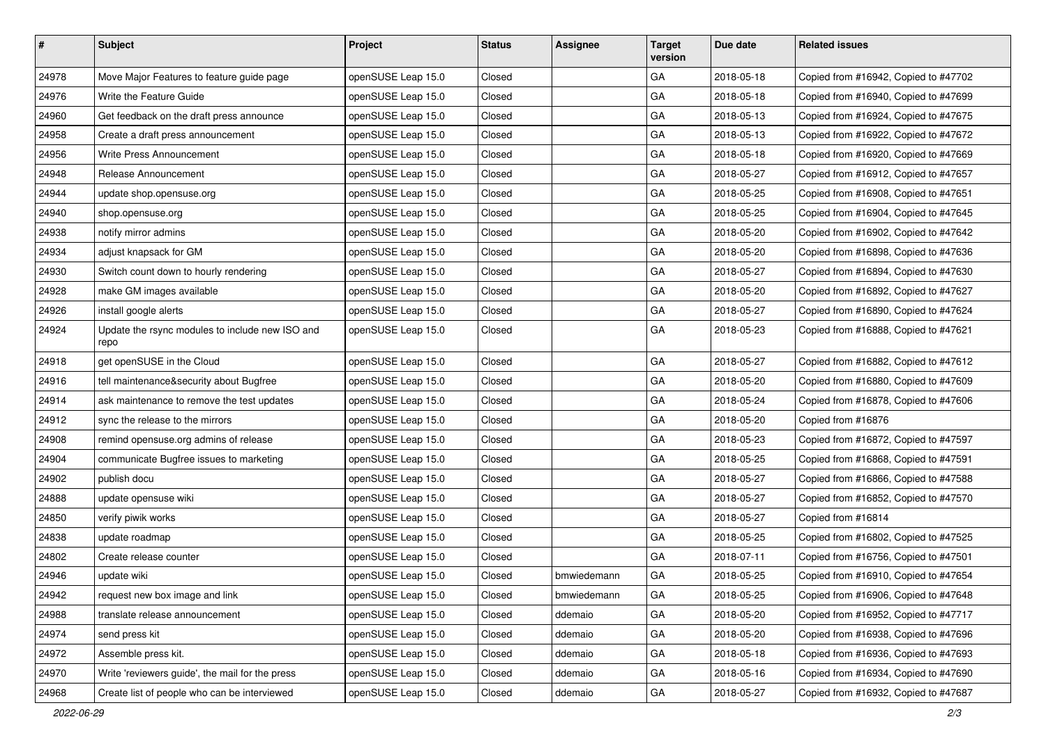| $\vert$ # | Subject                                                 | Project            | <b>Status</b> | Assignee    | <b>Target</b><br>version | Due date   | <b>Related issues</b>                |
|-----------|---------------------------------------------------------|--------------------|---------------|-------------|--------------------------|------------|--------------------------------------|
| 24978     | Move Major Features to feature guide page               | openSUSE Leap 15.0 | Closed        |             | GA                       | 2018-05-18 | Copied from #16942, Copied to #47702 |
| 24976     | Write the Feature Guide                                 | openSUSE Leap 15.0 | Closed        |             | GA                       | 2018-05-18 | Copied from #16940, Copied to #47699 |
| 24960     | Get feedback on the draft press announce                | openSUSE Leap 15.0 | Closed        |             | GA                       | 2018-05-13 | Copied from #16924, Copied to #47675 |
| 24958     | Create a draft press announcement                       | openSUSE Leap 15.0 | Closed        |             | GA                       | 2018-05-13 | Copied from #16922, Copied to #47672 |
| 24956     | Write Press Announcement                                | openSUSE Leap 15.0 | Closed        |             | GA                       | 2018-05-18 | Copied from #16920, Copied to #47669 |
| 24948     | Release Announcement                                    | openSUSE Leap 15.0 | Closed        |             | GA                       | 2018-05-27 | Copied from #16912, Copied to #47657 |
| 24944     | update shop.opensuse.org                                | openSUSE Leap 15.0 | Closed        |             | GA                       | 2018-05-25 | Copied from #16908, Copied to #47651 |
| 24940     | shop.opensuse.org                                       | openSUSE Leap 15.0 | Closed        |             | GA                       | 2018-05-25 | Copied from #16904, Copied to #47645 |
| 24938     | notify mirror admins                                    | openSUSE Leap 15.0 | Closed        |             | GA                       | 2018-05-20 | Copied from #16902, Copied to #47642 |
| 24934     | adjust knapsack for GM                                  | openSUSE Leap 15.0 | Closed        |             | GA                       | 2018-05-20 | Copied from #16898, Copied to #47636 |
| 24930     | Switch count down to hourly rendering                   | openSUSE Leap 15.0 | Closed        |             | GA                       | 2018-05-27 | Copied from #16894, Copied to #47630 |
| 24928     | make GM images available                                | openSUSE Leap 15.0 | Closed        |             | GA                       | 2018-05-20 | Copied from #16892, Copied to #47627 |
| 24926     | install google alerts                                   | openSUSE Leap 15.0 | Closed        |             | GA                       | 2018-05-27 | Copied from #16890, Copied to #47624 |
| 24924     | Update the rsync modules to include new ISO and<br>repo | openSUSE Leap 15.0 | Closed        |             | GA                       | 2018-05-23 | Copied from #16888, Copied to #47621 |
| 24918     | get openSUSE in the Cloud                               | openSUSE Leap 15.0 | Closed        |             | GA                       | 2018-05-27 | Copied from #16882, Copied to #47612 |
| 24916     | tell maintenance&security about Bugfree                 | openSUSE Leap 15.0 | Closed        |             | GA                       | 2018-05-20 | Copied from #16880, Copied to #47609 |
| 24914     | ask maintenance to remove the test updates              | openSUSE Leap 15.0 | Closed        |             | GA                       | 2018-05-24 | Copied from #16878, Copied to #47606 |
| 24912     | sync the release to the mirrors                         | openSUSE Leap 15.0 | Closed        |             | GA                       | 2018-05-20 | Copied from #16876                   |
| 24908     | remind opensuse.org admins of release                   | openSUSE Leap 15.0 | Closed        |             | GA                       | 2018-05-23 | Copied from #16872, Copied to #47597 |
| 24904     | communicate Bugfree issues to marketing                 | openSUSE Leap 15.0 | Closed        |             | GA                       | 2018-05-25 | Copied from #16868, Copied to #47591 |
| 24902     | publish docu                                            | openSUSE Leap 15.0 | Closed        |             | GA                       | 2018-05-27 | Copied from #16866, Copied to #47588 |
| 24888     | update opensuse wiki                                    | openSUSE Leap 15.0 | Closed        |             | GA                       | 2018-05-27 | Copied from #16852, Copied to #47570 |
| 24850     | verify piwik works                                      | openSUSE Leap 15.0 | Closed        |             | GA                       | 2018-05-27 | Copied from #16814                   |
| 24838     | update roadmap                                          | openSUSE Leap 15.0 | Closed        |             | GA                       | 2018-05-25 | Copied from #16802, Copied to #47525 |
| 24802     | Create release counter                                  | openSUSE Leap 15.0 | Closed        |             | GA                       | 2018-07-11 | Copied from #16756, Copied to #47501 |
| 24946     | update wiki                                             | openSUSE Leap 15.0 | Closed        | bmwiedemann | GA                       | 2018-05-25 | Copied from #16910, Copied to #47654 |
| 24942     | request new box image and link                          | openSUSE Leap 15.0 | Closed        | bmwiedemann | GA                       | 2018-05-25 | Copied from #16906, Copied to #47648 |
| 24988     | translate release announcement                          | openSUSE Leap 15.0 | Closed        | ddemaio     | GA                       | 2018-05-20 | Copied from #16952, Copied to #47717 |
| 24974     | send press kit                                          | openSUSE Leap 15.0 | Closed        | ddemaio     | GA                       | 2018-05-20 | Copied from #16938, Copied to #47696 |
| 24972     | Assemble press kit.                                     | openSUSE Leap 15.0 | Closed        | ddemaio     | GA                       | 2018-05-18 | Copied from #16936, Copied to #47693 |
| 24970     | Write 'reviewers guide', the mail for the press         | openSUSE Leap 15.0 | Closed        | ddemaio     | GA                       | 2018-05-16 | Copied from #16934, Copied to #47690 |
| 24968     | Create list of people who can be interviewed            | openSUSE Leap 15.0 | Closed        | ddemaio     | GA                       | 2018-05-27 | Copied from #16932, Copied to #47687 |